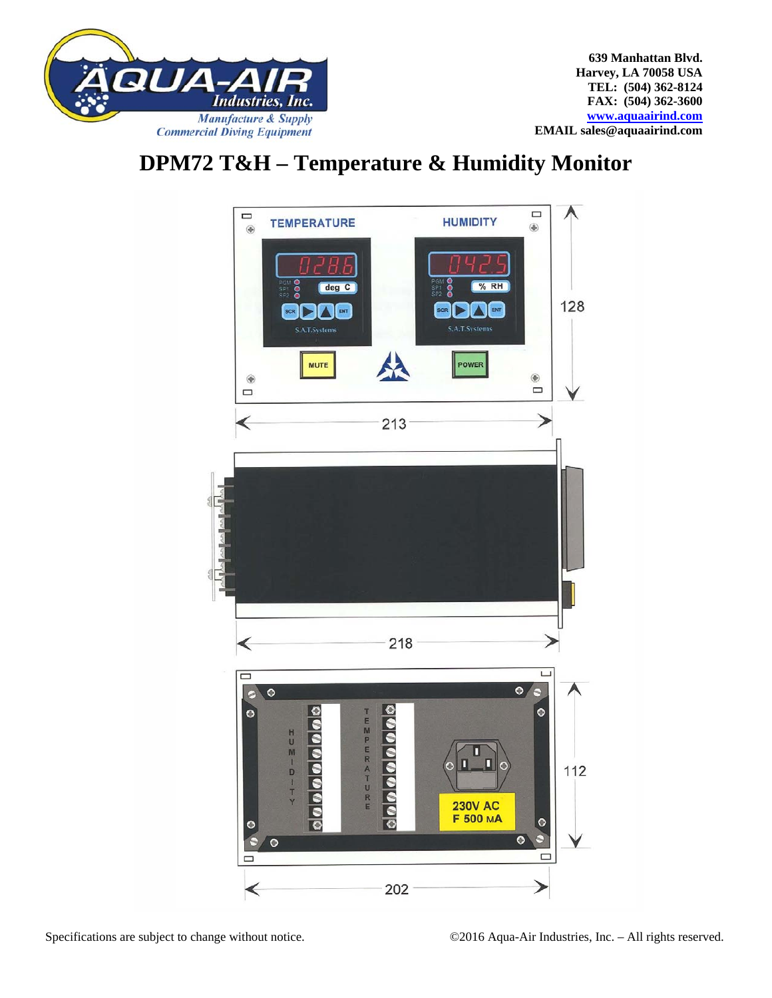

## **DPM72 T&H – Temperature & Humidity Monitor**